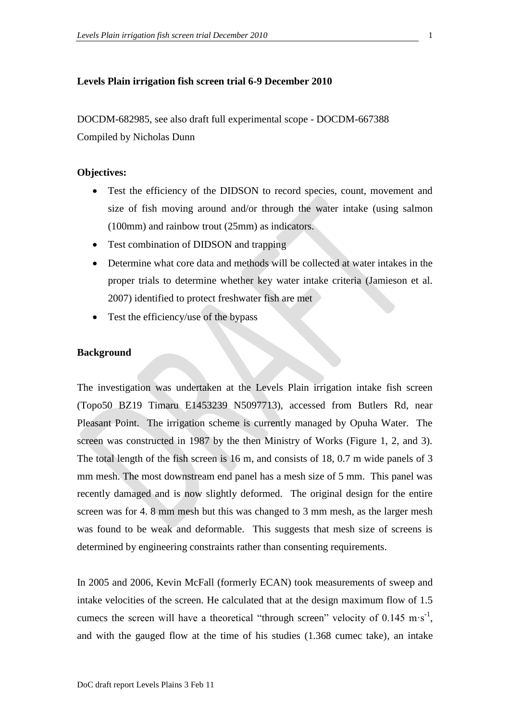## **Levels Plain irrigation fish screen trial 6-9 December 2010**

DOCDM-682985, see also draft full experimental scope - DOCDM-667388 Compiled by Nicholas Dunn

# **Objectives:**

- Test the efficiency of the DIDSON to record species, count, movement and size of fish moving around and/or through the water intake (using salmon (100mm) and rainbow trout (25mm) as indicators.
- Test combination of DIDSON and trapping
- Determine what core data and methods will be collected at water intakes in the proper trials to determine whether key water intake criteria (Jamieson et al. 2007) identified to protect freshwater fish are met
- Test the efficiency/use of the bypass

# **Background**

The investigation was undertaken at the Levels Plain irrigation intake fish screen (Topo50 BZ19 Timaru E1453239 N5097713), accessed from Butlers Rd, near Pleasant Point. The irrigation scheme is currently managed by Opuha Water. The screen was constructed in 1987 by the then Ministry of Works (Figure 1, 2, and 3). The total length of the fish screen is 16 m, and consists of 18, 0.7 m wide panels of 3 mm mesh. The most downstream end panel has a mesh size of 5 mm. This panel was recently damaged and is now slightly deformed. The original design for the entire screen was for 4. 8 mm mesh but this was changed to 3 mm mesh, as the larger mesh was found to be weak and deformable. This suggests that mesh size of screens is determined by engineering constraints rather than consenting requirements.

In 2005 and 2006, Kevin McFall (formerly ECAN) took measurements of sweep and intake velocities of the screen. He calculated that at the design maximum flow of 1.5 cumecs the screen will have a theoretical "through screen" velocity of  $0.145 \text{ m} \cdot \text{s}^{-1}$ , and with the gauged flow at the time of his studies (1.368 cumec take), an intake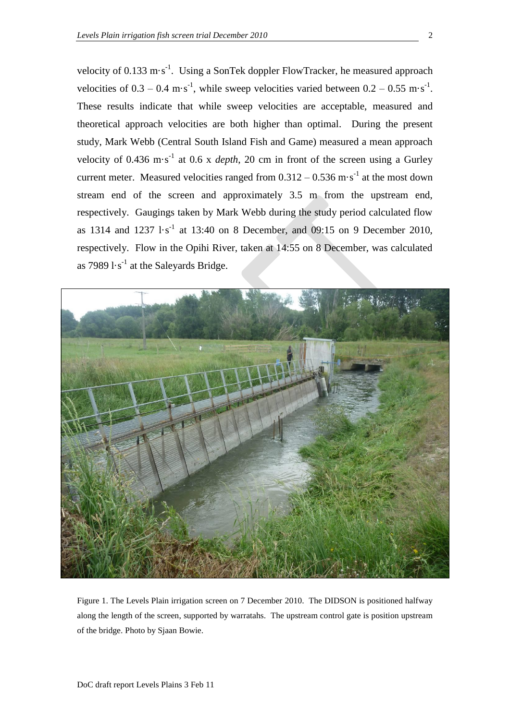velocity of 0.133 m·s<sup>-1</sup>. Using a SonTek doppler FlowTracker, he measured approach velocities of  $0.3 - 0.4 \text{ m} \cdot \text{s}^{-1}$ , while sweep velocities varied between  $0.2 - 0.55 \text{ m} \cdot \text{s}^{-1}$ . These results indicate that while sweep velocities are acceptable, measured and theoretical approach velocities are both higher than optimal. During the present study, Mark Webb (Central South Island Fish and Game) measured a mean approach velocity of  $0.436 \text{ m} \cdot \text{s}^{-1}$  at  $0.6 \text{ x } depth$ , 20 cm in front of the screen using a Gurley current meter. Measured velocities ranged from  $0.312 - 0.536$  m·s<sup>-1</sup> at the most down stream end of the screen and approximately 3.5 m from the upstream end, respectively. Gaugings taken by Mark Webb during the study period calculated flow as 1314 and  $1237 \text{ l} \cdot \text{s}^{-1}$  at 13:40 on 8 December, and 09:15 on 9 December 2010, respectively. Flow in the Opihi River, taken at 14:55 on 8 December, was calculated as  $79891 \cdot s^{-1}$  at the Saleyards Bridge.



Figure 1. The Levels Plain irrigation screen on 7 December 2010. The DIDSON is positioned halfway along the length of the screen, supported by warratahs. The upstream control gate is position upstream of the bridge. Photo by Sjaan Bowie.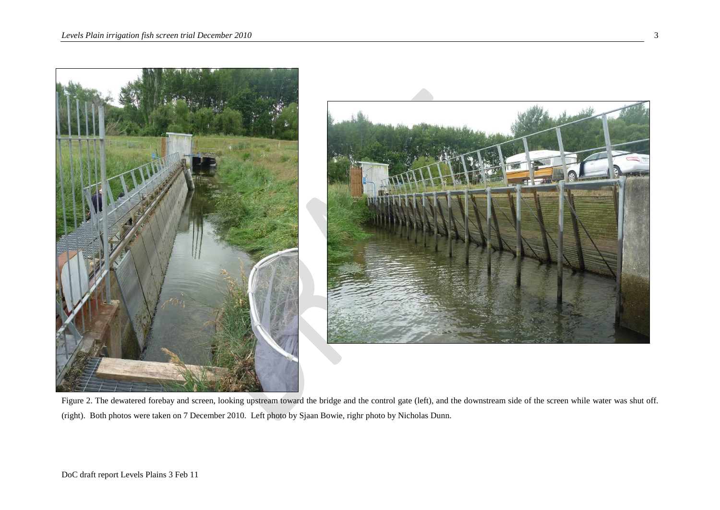

Figure 2. The dewatered forebay and screen, looking upstream toward the bridge and the control gate (left), and the downstream side of the screen while water was shut off. (right). Both photos were taken on 7 December 2010. Left photo by Sjaan Bowie, righr photo by Nicholas Dunn.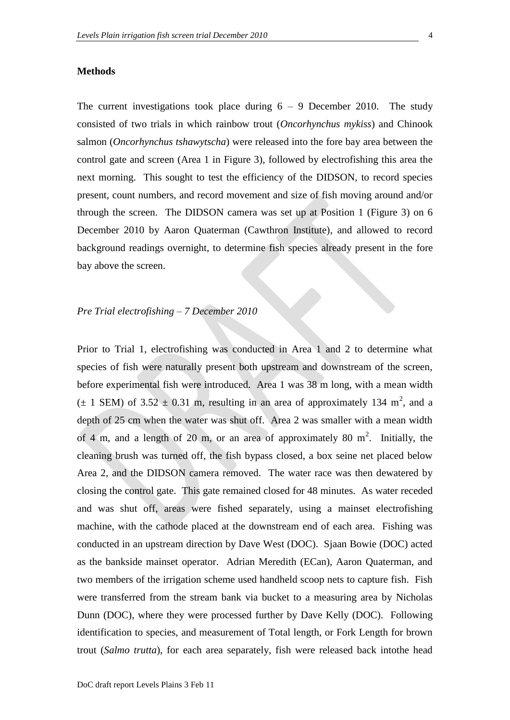### **Methods**

The current investigations took place during  $6 - 9$  December 2010. The study consisted of two trials in which rainbow trout (*Oncorhynchus mykiss*) and Chinook salmon (*Oncorhynchus tshawytscha*) were released into the fore bay area between the control gate and screen (Area 1 in Figure 3), followed by electrofishing this area the next morning. This sought to test the efficiency of the DIDSON, to record species present, count numbers, and record movement and size of fish moving around and/or through the screen. The DIDSON camera was set up at Position 1 (Figure 3) on 6 December 2010 by Aaron Quaterman (Cawthron Institute), and allowed to record background readings overnight, to determine fish species already present in the fore bay above the screen.

## *Pre Trial electrofishing – 7 December 2010*

Prior to Trial 1, electrofishing was conducted in Area 1 and 2 to determine what species of fish were naturally present both upstream and downstream of the screen, before experimental fish were introduced. Area 1 was 38 m long, with a mean width  $(\pm 1$  SEM) of 3.52  $\pm$  0.31 m, resulting in an area of approximately 134 m<sup>2</sup>, and a depth of 25 cm when the water was shut off. Area 2 was smaller with a mean width of 4 m, and a length of 20 m, or an area of approximately 80 m<sup>2</sup>. Initially, the cleaning brush was turned off, the fish bypass closed, a box seine net placed below Area 2, and the DIDSON camera removed. The water race was then dewatered by closing the control gate. This gate remained closed for 48 minutes. As water receded and was shut off, areas were fished separately, using a mainset electrofishing machine, with the cathode placed at the downstream end of each area. Fishing was conducted in an upstream direction by Dave West (DOC). Sjaan Bowie (DOC) acted as the bankside mainset operator. Adrian Meredith (ECan), Aaron Quaterman, and two members of the irrigation scheme used handheld scoop nets to capture fish. Fish were transferred from the stream bank via bucket to a measuring area by Nicholas Dunn (DOC), where they were processed further by Dave Kelly (DOC). Following identification to species, and measurement of Total length, or Fork Length for brown trout (*Salmo trutta*), for each area separately, fish were released back intothe head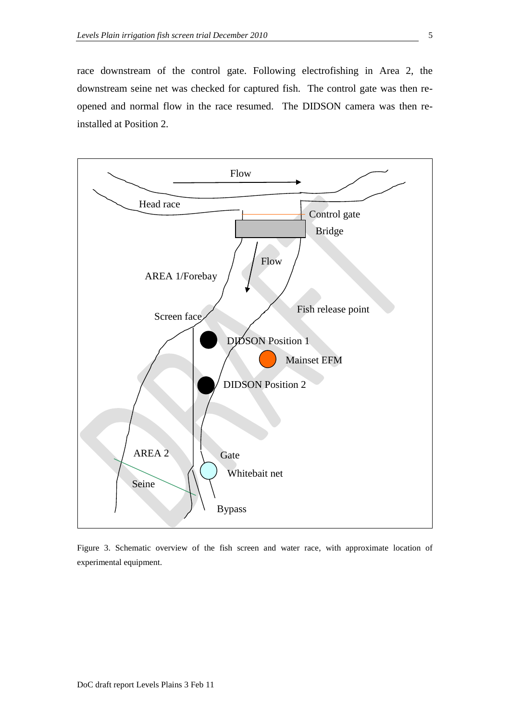race downstream of the control gate. Following electrofishing in Area 2, the downstream seine net was checked for captured fish. The control gate was then reopened and normal flow in the race resumed. The DIDSON camera was then reinstalled at Position 2.



Figure 3. Schematic overview of the fish screen and water race, with approximate location of experimental equipment.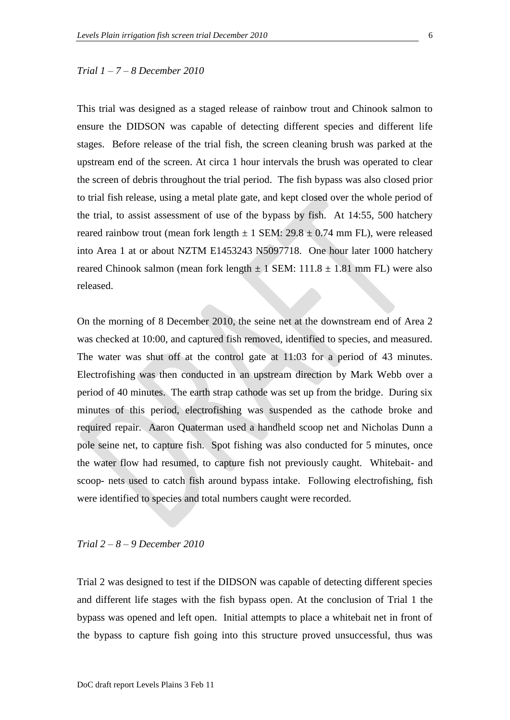### *Trial 1 – 7 – 8 December 2010*

This trial was designed as a staged release of rainbow trout and Chinook salmon to ensure the DIDSON was capable of detecting different species and different life stages. Before release of the trial fish, the screen cleaning brush was parked at the upstream end of the screen. At circa 1 hour intervals the brush was operated to clear the screen of debris throughout the trial period. The fish bypass was also closed prior to trial fish release, using a metal plate gate, and kept closed over the whole period of the trial, to assist assessment of use of the bypass by fish. At 14:55, 500 hatchery reared rainbow trout (mean fork length  $\pm$  1 SEM: 29.8  $\pm$  0.74 mm FL), were released into Area 1 at or about NZTM E1453243 N5097718. One hour later 1000 hatchery reared Chinook salmon (mean fork length  $\pm 1$  SEM: 111.8  $\pm$  1.81 mm FL) were also released.

On the morning of 8 December 2010, the seine net at the downstream end of Area 2 was checked at 10:00, and captured fish removed, identified to species, and measured. The water was shut off at the control gate at 11:03 for a period of 43 minutes. Electrofishing was then conducted in an upstream direction by Mark Webb over a period of 40 minutes. The earth strap cathode was set up from the bridge. During six minutes of this period, electrofishing was suspended as the cathode broke and required repair. Aaron Quaterman used a handheld scoop net and Nicholas Dunn a pole seine net, to capture fish. Spot fishing was also conducted for 5 minutes, once the water flow had resumed, to capture fish not previously caught. Whitebait- and scoop- nets used to catch fish around bypass intake. Following electrofishing, fish were identified to species and total numbers caught were recorded.

#### *Trial 2 – 8 – 9 December 2010*

Trial 2 was designed to test if the DIDSON was capable of detecting different species and different life stages with the fish bypass open. At the conclusion of Trial 1 the bypass was opened and left open. Initial attempts to place a whitebait net in front of the bypass to capture fish going into this structure proved unsuccessful, thus was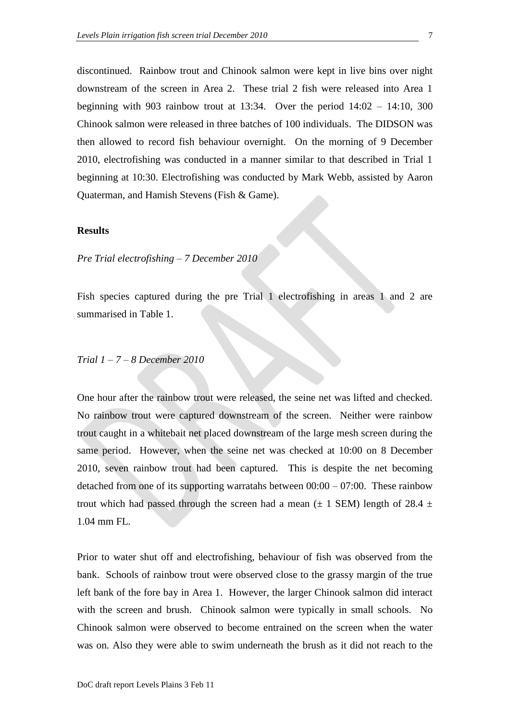discontinued. Rainbow trout and Chinook salmon were kept in live bins over night downstream of the screen in Area 2. These trial 2 fish were released into Area 1 beginning with 903 rainbow trout at 13:34. Over the period  $14:02 - 14:10$ , 300 Chinook salmon were released in three batches of 100 individuals. The DIDSON was then allowed to record fish behaviour overnight. On the morning of 9 December 2010, electrofishing was conducted in a manner similar to that described in Trial 1 beginning at 10:30. Electrofishing was conducted by Mark Webb, assisted by Aaron Quaterman, and Hamish Stevens (Fish & Game).

### **Results**

*Pre Trial electrofishing – 7 December 2010*

Fish species captured during the pre Trial 1 electrofishing in areas 1 and 2 are summarised in Table 1.

### *Trial 1 – 7 – 8 December 2010*

One hour after the rainbow trout were released, the seine net was lifted and checked. No rainbow trout were captured downstream of the screen. Neither were rainbow trout caught in a whitebait net placed downstream of the large mesh screen during the same period. However, when the seine net was checked at 10:00 on 8 December 2010, seven rainbow trout had been captured. This is despite the net becoming detached from one of its supporting warratahs between  $00:00 - 07:00$ . These rainbow trout which had passed through the screen had a mean ( $\pm$  1 SEM) length of 28.4  $\pm$ 1.04 mm FL.

Prior to water shut off and electrofishing, behaviour of fish was observed from the bank. Schools of rainbow trout were observed close to the grassy margin of the true left bank of the fore bay in Area 1. However, the larger Chinook salmon did interact with the screen and brush. Chinook salmon were typically in small schools. No Chinook salmon were observed to become entrained on the screen when the water was on. Also they were able to swim underneath the brush as it did not reach to the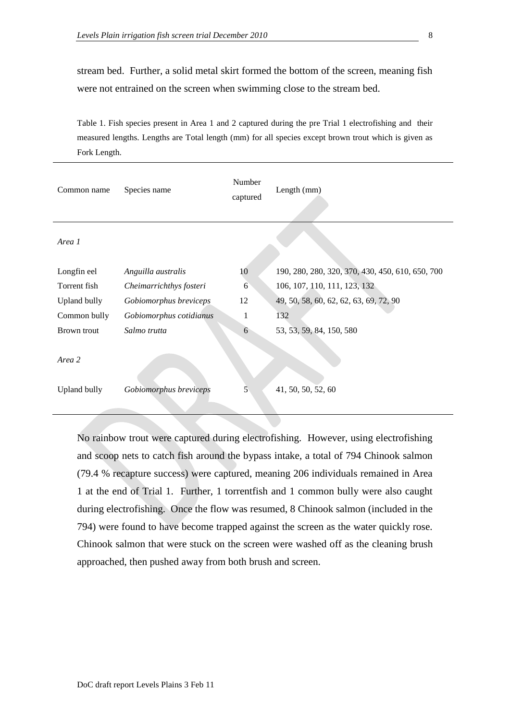stream bed. Further, a solid metal skirt formed the bottom of the screen, meaning fish were not entrained on the screen when swimming close to the stream bed.

Table 1. Fish species present in Area 1 and 2 captured during the pre Trial 1 electrofishing and their measured lengths. Lengths are Total length (mm) for all species except brown trout which is given as Fork Length.

| Common name         | Species name            | Number<br>captured | Length (mm)                                      |
|---------------------|-------------------------|--------------------|--------------------------------------------------|
| Area 1              |                         |                    |                                                  |
| Longfin eel         | Anguilla australis      | 10                 | 190, 280, 280, 320, 370, 430, 450, 610, 650, 700 |
| Torrent fish        | Cheimarrichthys fosteri | 6                  | 106, 107, 110, 111, 123, 132                     |
| Upland bully        | Gobiomorphus breviceps  | 12                 | 49, 50, 58, 60, 62, 62, 63, 69, 72, 90           |
| Common bully        | Gobiomorphus cotidianus | 1                  | 132                                              |
| Brown trout         | Salmo trutta            | 6                  | 53, 53, 59, 84, 150, 580                         |
| Area 2              |                         |                    |                                                  |
| <b>Upland bully</b> | Gobiomorphus breviceps  | 5                  | 41, 50, 50, 52, 60                               |
|                     |                         |                    |                                                  |

No rainbow trout were captured during electrofishing. However, using electrofishing and scoop nets to catch fish around the bypass intake, a total of 794 Chinook salmon (79.4 % recapture success) were captured, meaning 206 individuals remained in Area 1 at the end of Trial 1. Further, 1 torrentfish and 1 common bully were also caught during electrofishing. Once the flow was resumed, 8 Chinook salmon (included in the 794) were found to have become trapped against the screen as the water quickly rose. Chinook salmon that were stuck on the screen were washed off as the cleaning brush approached, then pushed away from both brush and screen.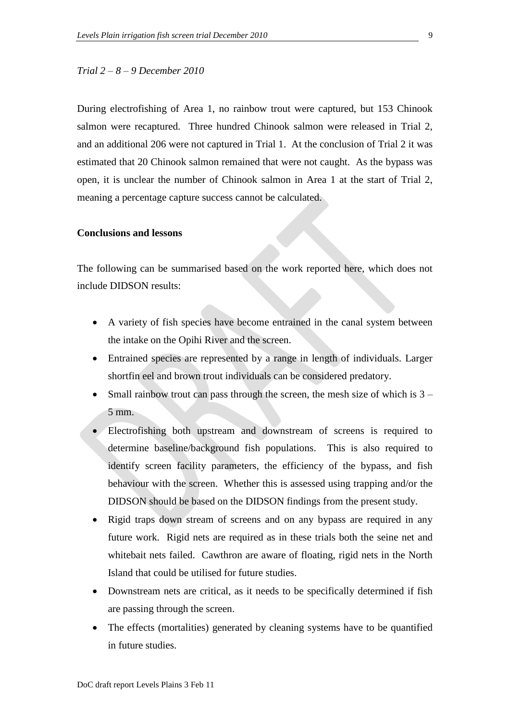### *Trial 2 – 8 – 9 December 2010*

During electrofishing of Area 1, no rainbow trout were captured, but 153 Chinook salmon were recaptured. Three hundred Chinook salmon were released in Trial 2, and an additional 206 were not captured in Trial 1. At the conclusion of Trial 2 it was estimated that 20 Chinook salmon remained that were not caught. As the bypass was open, it is unclear the number of Chinook salmon in Area 1 at the start of Trial 2, meaning a percentage capture success cannot be calculated.

## **Conclusions and lessons**

The following can be summarised based on the work reported here, which does not include DIDSON results:

- A variety of fish species have become entrained in the canal system between the intake on the Opihi River and the screen.
- Entrained species are represented by a range in length of individuals. Larger shortfin eel and brown trout individuals can be considered predatory.
- Small rainbow trout can pass through the screen, the mesh size of which is 3 5 mm.
- Electrofishing both upstream and downstream of screens is required to determine baseline/background fish populations. This is also required to identify screen facility parameters, the efficiency of the bypass, and fish behaviour with the screen. Whether this is assessed using trapping and/or the DIDSON should be based on the DIDSON findings from the present study.
- Rigid traps down stream of screens and on any bypass are required in any future work. Rigid nets are required as in these trials both the seine net and whitebait nets failed. Cawthron are aware of floating, rigid nets in the North Island that could be utilised for future studies.
- Downstream nets are critical, as it needs to be specifically determined if fish are passing through the screen.
- The effects (mortalities) generated by cleaning systems have to be quantified in future studies.